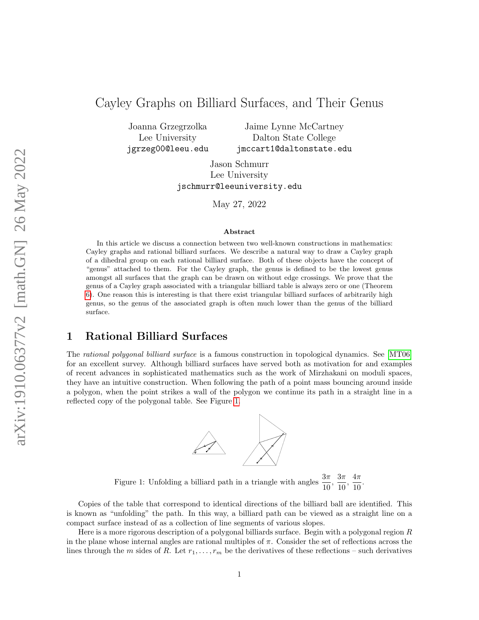# Cayley Graphs on Billiard Surfaces, and Their Genus

Joanna Grzegrzolka Lee University jgrzeg00@leeu.edu

Jaime Lynne McCartney Dalton State College jmccart1@daltonstate.edu

Jason Schmurr Lee University jschmurr@leeuniversity.edu

May 27, 2022

#### Abstract

In this article we discuss a connection between two well-known constructions in mathematics: Cayley graphs and rational billiard surfaces. We describe a natural way to draw a Cayley graph of a dihedral group on each rational billiard surface. Both of these objects have the concept of "genus" attached to them. For the Cayley graph, the genus is defined to be the lowest genus amongst all surfaces that the graph can be drawn on without edge crossings. We prove that the genus of a Cayley graph associated with a triangular billiard table is always zero or one (Theorem [6\)](#page-9-0). One reason this is interesting is that there exist triangular billiard surfaces of arbitrarily high genus, so the genus of the associated graph is often much lower than the genus of the billiard surface.

# 1 Rational Billiard Surfaces

The rational polygonal billiard surface is a famous construction in topological dynamics. See [\[MT06\]](#page-10-0) for an excellent survey. Although billiard surfaces have served both as motivation for and examples of recent advances in sophisticated mathematics such as the work of Mirzhakani on moduli spaces, they have an intuitive construction. When following the path of a point mass bouncing around inside a polygon, when the point strikes a wall of the polygon we continue its path in a straight line in a reflected copy of the polygonal table. See Figure [1.](#page-0-0)



<span id="page-0-0"></span>Figure 1: Unfolding a billiard path in a triangle with angles  $\frac{3\pi}{10}$ ,  $\frac{3\pi}{10}$  $\frac{3\pi}{10}, \frac{4\pi}{10}$  $\frac{1}{10}$ .

Copies of the table that correspond to identical directions of the billiard ball are identified. This is known as "unfolding" the path. In this way, a billiard path can be viewed as a straight line on a compact surface instead of as a collection of line segments of various slopes.

Here is a more rigorous description of a polygonal billiards surface. Begin with a polygonal region R in the plane whose internal angles are rational multiples of  $\pi$ . Consider the set of reflections across the lines through the m sides of R. Let  $r_1, \ldots, r_m$  be the derivatives of these reflections – such derivatives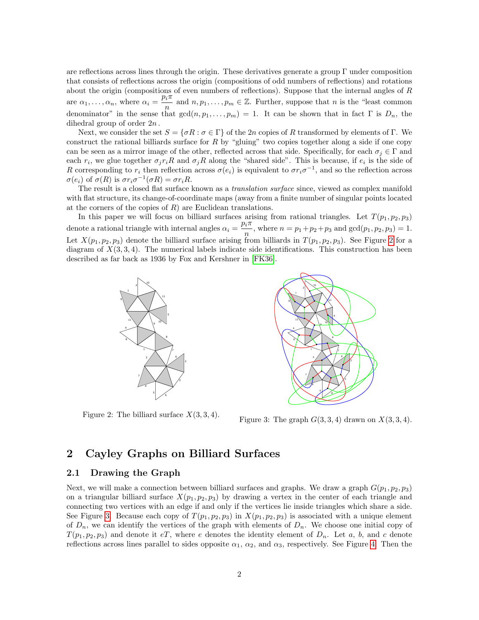are reflections across lines through the origin. These derivatives generate a group  $\Gamma$  under composition that consists of reflections across the origin (compositions of odd numbers of reflections) and rotations about the origin (compositions of even numbers of reflections). Suppose that the internal angles of R are  $\alpha_1, \ldots, \alpha_n$ , where  $\alpha_i = \frac{p_i \pi}{n_i}$  $\frac{n_i^n}{n}$  and  $n, p_1, \ldots, p_m \in \mathbb{Z}$ . Further, suppose that n is the "least common" denominator" in the sense that  $gcd(n, p_1, \ldots, p_m) = 1$ . It can be shown that in fact  $\Gamma$  is  $D_n$ , the dihedral group of order 2n .

Next, we consider the set  $S = {\sigma R : \sigma \in \Gamma}$  of the 2n copies of R transformed by elements of Γ. We construct the rational billiards surface for  $R$  by "gluing" two copies together along a side if one copy can be seen as a mirror image of the other, reflected across that side. Specifically, for each  $\sigma_j \in \Gamma$  and each  $r_i$ , we glue together  $\sigma_j r_i R$  and  $\sigma_j R$  along the "shared side". This is because, if  $e_i$  is the side of R corresponding to  $r_i$  then reflection across  $\sigma(e_i)$  is equivalent to  $\sigma r_i \sigma^{-1}$ , and so the reflection across  $\sigma(e_i)$  of  $\sigma(R)$  is  $\sigma r_i \sigma^{-1}(\sigma R) = \sigma r_i R$ .

The result is a closed flat surface known as a *translation surface* since, viewed as complex manifold with flat structure, its change-of-coordinate maps (away from a finite number of singular points located at the corners of the copies of  $R$ ) are Euclidean translations.

In this paper we will focus on billiard surfaces arising from rational triangles. Let  $T(p_1, p_2, p_3)$ denote a rational triangle with internal angles  $\alpha_i = \frac{p_i \pi}{n}$  $\frac{n}{n}$ , where  $n = p_1 + p_2 + p_3$  and  $gcd(p_1, p_2, p_3) = 1$ . Let  $X(p_1, p_2, p_3)$  denote the billiard surface arising from billiards in  $T(p_1, p_2, p_3)$ . See Figure [2](#page-1-0) for a diagram of  $X(3, 3, 4)$ . The numerical labels indicate side identifications. This construction has been described as far back as 1936 by Fox and Kershner in [\[FK36\]](#page-10-1).



<span id="page-1-0"></span>Figure 2: The billiard surface  $X(3,3,4)$ .

3 3 4 5 5 6 6 7 7 8 8 9 9 10 10 11 11

<span id="page-1-1"></span>Figure 3: The graph  $G(3,3,4)$  drawn on  $X(3,3,4)$ .

## 2 Cayley Graphs on Billiard Surfaces

### 2.1 Drawing the Graph

Next, we will make a connection between billiard surfaces and graphs. We draw a graph  $G(p_1, p_2, p_3)$ on a triangular billiard surface  $X(p_1, p_2, p_3)$  by drawing a vertex in the center of each triangle and connecting two vertices with an edge if and only if the vertices lie inside triangles which share a side. See Figure [3.](#page-1-1) Because each copy of  $T(p_1, p_2, p_3)$  in  $X(p_1, p_2, p_3)$  is associated with a unique element of  $D_n$ , we can identify the vertices of the graph with elements of  $D_n$ . We choose one initial copy of  $T(p_1, p_2, p_3)$  and denote it eT, where e denotes the identity element of  $D_n$ . Let a, b, and c denote reflections across lines parallel to sides opposite  $\alpha_1$ ,  $\alpha_2$ , and  $\alpha_3$ , respectively. See Figure [4.](#page-2-0) Then the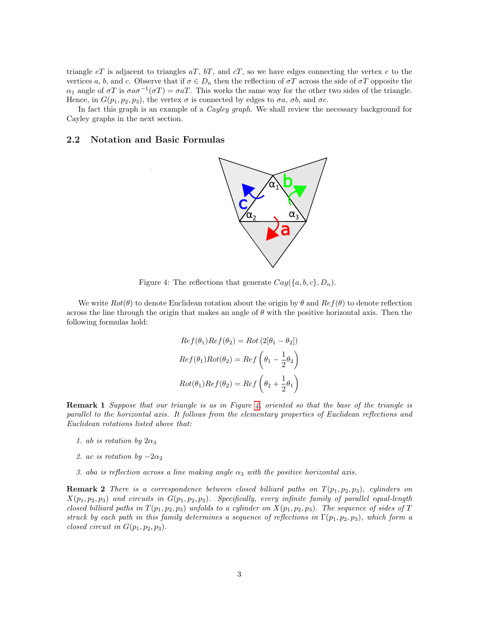triangle  $eT$  is adjacent to triangles  $aT$ ,  $bT$ , and  $cT$ , so we have edges connecting the vertex  $e$  to the vertices a, b, and c. Observe that if  $\sigma \in D_n$  then the reflection of  $\sigma T$  across the side of  $\sigma T$  opposite the  $\alpha_1$  angle of  $\sigma T$  is  $\sigma a \sigma^{-1}(\sigma T) = \sigma aT$ . This works the same way for the other two sides of the triangle. Hence, in  $G(p_1, p_2, p_3)$ , the vertex  $\sigma$  is connected by edges to  $\sigma a$ ,  $\sigma b$ , and  $\sigma c$ .

In fact this graph is an example of a *Cayley graph*. We shall review the necessary background for Cayley graphs in the next section.

### 2.2 Notation and Basic Formulas



<span id="page-2-0"></span>Figure 4: The reflections that generate  $Cay({a, b, c}, D_n)$ .

We write  $Rot(\theta)$  to denote Euclidean rotation about the origin by  $\theta$  and  $Ref(\theta)$  to denote reflection across the line through the origin that makes an angle of  $\theta$  with the positive horizontal axis. Then the following formulas hold:

$$
Ref(\theta_1)Ref(\theta_2) = Rot(2[\theta_1 - \theta_2])
$$

$$
Ref(\theta_1)Rot(\theta_2) = Ref\left(\theta_1 - \frac{1}{2}\theta_2\right)
$$

$$
Rot(\theta_1)Ref(\theta_2) = Ref\left(\theta_2 + \frac{1}{2}\theta_1\right)
$$

Remark 1 Suppose that our triangle is as in Figure [4,](#page-2-0) oriented so that the base of the triangle is parallel to the horizontal axis. It follows from the elementary properties of Euclidean reflections and Euclidean rotations listed above that:

- 1. ab is rotation by  $2\alpha_3$
- 2. ac is rotation by  $-2\alpha_2$
- 3. aba is reflection across a line making angle  $\alpha_3$  with the positive horizontal axis.

**Remark 2** There is a correspondence between closed billiard paths on  $T(p_1, p_2, p_3)$ , cylinders on  $X(p_1, p_2, p_3)$  and circuits in  $G(p_1, p_2, p_3)$ . Specifically, every infinite family of parallel equal-length closed billiard paths in  $T(p_1, p_2, p_3)$  unfolds to a cylinder on  $X(p_1, p_2, p_3)$ . The sequence of sides of T struck by each path in this family determines a sequence of reflections in  $\Gamma(p_1, p_2, p_3)$ , which form a closed circuit in  $G(p_1, p_2, p_3)$ .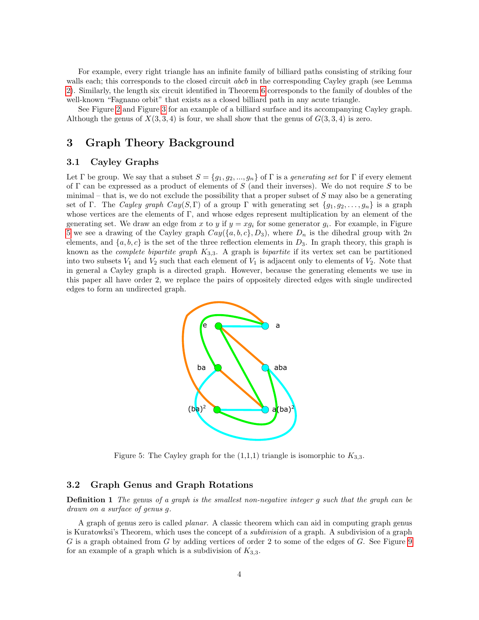For example, every right triangle has an infinite family of billiard paths consisting of striking four walls each; this corresponds to the closed circuit *abcb* in the corresponding Cayley graph (see Lemma [2\)](#page-6-0). Similarly, the length six circuit identified in Theorem [6](#page-9-0) corresponds to the family of doubles of the well-known "Fagnano orbit" that exists as a closed billiard path in any acute triangle.

See Figure [2](#page-1-0) and Figure [3](#page-1-1) for an example of a billiard surface and its accompanying Cayley graph. Although the genus of  $X(3, 3, 4)$  is four, we shall show that the genus of  $G(3, 3, 4)$  is zero.

### 3 Graph Theory Background

### 3.1 Cayley Graphs

Let Γ be group. We say that a subset  $S = \{g_1, g_2, ..., g_n\}$  of Γ is a *generating set* for Γ if every element of Γ can be expressed as a product of elements of S (and their inverses). We do not require S to be minimal – that is, we do not exclude the possibility that a proper subset of  $S$  may also be a generating set of Γ. The Cayley graph Cay(S,Γ) of a group Γ with generating set  $\{g_1, g_2, \ldots, g_n\}$  is a graph whose vertices are the elements of  $\Gamma$ , and whose edges represent multiplication by an element of the generating set. We draw an edge from x to y if  $y = xg_i$  for some generator  $g_i$ . For example, in Figure [5](#page-3-0) we see a drawing of the Cayley graph  $Cay({a, b, c}, B_3)$ , where  $D_n$  is the dihedral group with  $2n$ elements, and  $\{a, b, c\}$  is the set of the three reflection elements in  $D_3$ . In graph theory, this graph is known as the *complete bipartite graph*  $K_{3,3}$ . A graph is *bipartite* if its vertex set can be partitioned into two subsets  $V_1$  and  $V_2$  such that each element of  $V_1$  is adjacent only to elements of  $V_2$ . Note that in general a Cayley graph is a directed graph. However, because the generating elements we use in this paper all have order 2, we replace the pairs of oppositely directed edges with single undirected edges to form an undirected graph.



<span id="page-3-0"></span>Figure 5: The Cayley graph for the  $(1,1,1)$  triangle is isomorphic to  $K_{3,3}$ .

#### 3.2 Graph Genus and Graph Rotations

**Definition 1** The genus of a graph is the smallest non-negative integer g such that the graph can be drawn on a surface of genus g.

A graph of genus zero is called planar. A classic theorem which can aid in computing graph genus is Kuratowksi's Theorem, which uses the concept of a subdivision of a graph. A subdivision of a graph  $G$  is a graph obtained from  $G$  by adding vertices of order 2 to some of the edges of  $G$ . See Figure [9](#page-8-0) for an example of a graph which is a subdivision of  $K_{3,3}$ .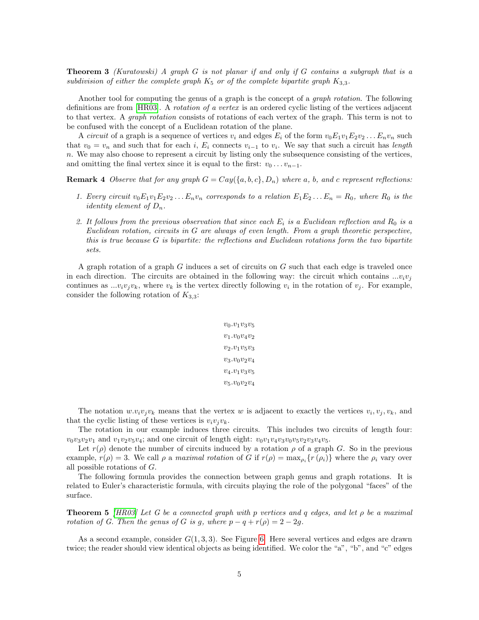**Theorem 3** (Kuratowski) A graph G is not planar if and only if G contains a subgraph that is a subdivision of either the complete graph  $K_5$  or of the complete bipartite graph  $K_{3,3}$ .

Another tool for computing the genus of a graph is the concept of a *graph rotation*. The following definitions are from [\[HR03\]](#page-10-2). A *rotation of a vertex* is an ordered cyclic listing of the vertices adjacent to that vertex. A graph rotation consists of rotations of each vertex of the graph. This term is not to be confused with the concept of a Euclidean rotation of the plane.

A *circuit* of a graph is a sequence of vertices  $v_i$  and edges  $E_i$  of the form  $v_0E_1v_1E_2v_2...E_nv_n$  such that  $v_0 = v_n$  and such that for each i,  $E_i$  connects  $v_{i-1}$  to  $v_i$ . We say that such a circuit has length n. We may also choose to represent a circuit by listing only the subsequence consisting of the vertices, and omitting the final vertex since it is equal to the first:  $v_0 \dots v_{n-1}$ .

**Remark 4** Observe that for any graph  $G = Cay({a, b, c}, D_n)$  where a, b, and c represent reflections:

- 1. Every circuit  $v_0E_1v_1E_2v_2...E_nv_n$  corresponds to a relation  $E_1E_2...E_n = R_0$ , where  $R_0$  is the *identity element of*  $D_n$ .
- 2. It follows from the previous observation that since each  $E_i$  is a Euclidean reflection and  $R_0$  is a Euclidean rotation, circuits in G are always of even length. From a graph theoretic perspective, this is true because G is bipartite: the reflections and Euclidean rotations form the two bipartite sets.

A graph rotation of a graph G induces a set of circuits on G such that each edge is traveled once in each direction. The circuits are obtained in the following way: the circuit which contains  $...v_i v_j$ continues as  $...v_iv_jv_k$ , where  $v_k$  is the vertex directly following  $v_i$  in the rotation of  $v_j$ . For example, consider the following rotation of  $K_{3,3}$ :

$$
v_0.v_1v_3v_5\\ v_1.v_0v_4v_2\\ v_2.v_1v_5v_3\\ v_3.v_0v_2v_4\\ v_4.v_1v_3v_5\\ v_5.v_0v_2v_4
$$

The notation  $w.v_iv_jv_k$  means that the vertex w is adjacent to exactly the vertices  $v_i, v_j, v_k$ , and that the cyclic listing of these vertices is  $v_i v_j v_k$ .

The rotation in our example induces three circuits. This includes two circuits of length four:  $v_0v_3v_2v_1$  and  $v_1v_2v_5v_4$ ; and one circuit of length eight:  $v_0v_1v_4v_3v_0v_5v_2v_3v_4v_5$ .

Let  $r(\rho)$  denote the number of circuits induced by a rotation  $\rho$  of a graph G. So in the previous example,  $r(\rho) = 3$ . We call  $\rho$  a maximal rotation of G if  $r(\rho) = \max_{\rho_i} \{r(\rho_i)\}\$  where the  $\rho_i$  vary over all possible rotations of G.

The following formula provides the connection between graph genus and graph rotations. It is related to Euler's characteristic formula, with circuits playing the role of the polygonal "faces" of the surface.

<span id="page-4-0"></span>**Theorem 5** [\[HR03\]](#page-10-2) Let G be a connected graph with p vertices and q edges, and let  $\rho$  be a maximal rotation of G. Then the genus of G is g, where  $p - q + r(\rho) = 2 - 2g$ .

As a second example, consider  $G(1,3,3)$ . See Figure [6.](#page-5-0) Here several vertices and edges are drawn twice; the reader should view identical objects as being identified. We color the "a", "b", and "c" edges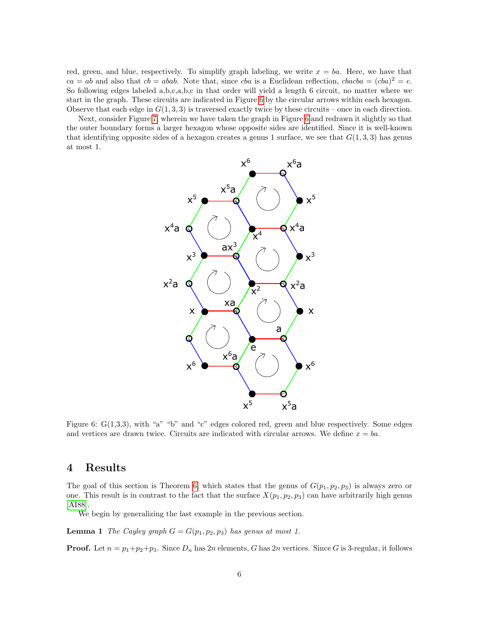red, green, and blue, respectively. To simplify graph labeling, we write  $x = ba$ . Here, we have that  $ca = ab$  and also that  $cb = abab$ . Note that, since cba is a Euclidean reflection,  $cbacba = (cba)^2 = e$ . So following edges labeled a,b,c,a,b,c in that order will yield a length 6 circuit, no matter where we start in the graph. These circuits are indicated in Figure [6](#page-5-0) by the circular arrows within each hexagon. Observe that each edge in  $G(1, 3, 3)$  is traversed exactly twice by these circuits – once in each direction.

Next, consider Figure [7,](#page-6-1) wherein we have taken the graph in Figure [6](#page-5-0) and redrawn it slightly so that the outer boundary forms a larger hexagon whose opposite sides are identified. Since it is well-known that identifying opposite sides of a hexagon creates a genus 1 surface, we see that  $G(1,3,3)$  has genus at most 1.



<span id="page-5-0"></span>Figure 6: G(1,3,3), with "a" "b" and "c" edges colored red, green and blue respectively. Some edges and vertices are drawn twice. Circuits are indicated with circular arrows. We define  $x = ba$ .

## 4 Results

The goal of this section is Theorem [6,](#page-9-0) which states that the genus of  $G(p_1, p_2, p_3)$  is always zero or one. This result is in contrast to the fact that the surface  $X(p_1, p_2, p_3)$  can have arbitrarily high genus [\[AI88\]](#page-10-3).

We begin by generalizing the last example in the previous section.

<span id="page-5-1"></span>**Lemma 1** The Cayley graph  $G = G(p_1, p_2, p_3)$  has genus at most 1.

**Proof.** Let  $n = p_1 + p_2 + p_3$ . Since  $D_n$  has  $2n$  elements, G has  $2n$  vertices. Since G is 3-regular, it follows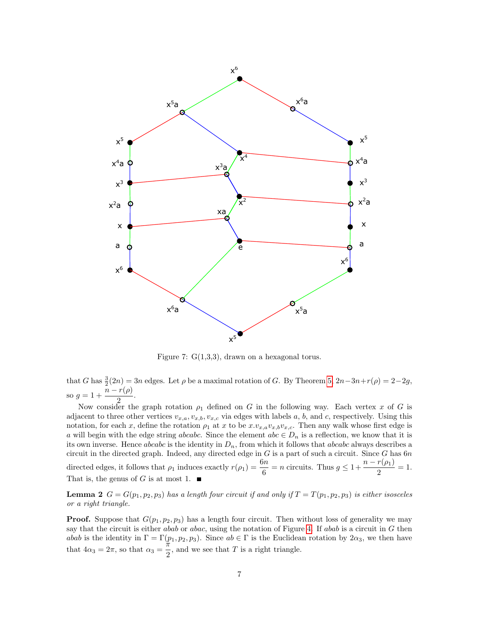

<span id="page-6-1"></span>Figure 7:  $G(1,3,3)$ , drawn on a hexagonal torus.

that G has  $\frac{3}{2}(2n) = 3n$  edges. Let  $\rho$  be a maximal rotation of G. By Theorem [5,](#page-4-0)  $2n-3n+r(\rho) = 2-2g$ , so  $g = 1 + \frac{n - r(\rho)}{2}$  $\frac{P(P)}{2}$ .

Now consider the graph rotation  $\rho_1$  defined on G in the following way. Each vertex x of G is adjacent to three other vertices  $v_{x,a}, v_{x,b}, v_{x,c}$  via edges with labels a, b, and c, respectively. Using this notation, for each x, define the rotation  $\rho_1$  at x to be  $x.v_{x,a}v_{x,b}v_{x,c}$ . Then any walk whose first edge is a will begin with the edge string abcabc. Since the element abc  $\in D_n$  is a reflection, we know that it is its own inverse. Hence abcabc is the identity in  $D_n$ , from which it follows that abcabc always describes a circuit in the directed graph. Indeed, any directed edge in  $G$  is a part of such a circuit. Since  $G$  has  $6n$ directed edges, it follows that  $\rho_1$  induces exactly  $r(\rho_1) = \frac{6n}{6} = n$  circuits. Thus  $g \leq 1 + \frac{n - r(\rho_1)}{2}$  $\frac{P(P_1)}{2} = 1.$ That is, the genus of G is at most 1.  $\blacksquare$ 

<span id="page-6-0"></span>**Lemma 2**  $G = G(p_1, p_2, p_3)$  has a length four circuit if and only if  $T = T(p_1, p_2, p_3)$  is either isosceles or a right triangle.

**Proof.** Suppose that  $G(p_1, p_2, p_3)$  has a length four circuit. Then without loss of generality we may say that the circuit is either abab or abac, using the notation of Figure [4.](#page-2-0) If abab is a circuit in  $G$  then abab is the identity in  $\Gamma = \Gamma(p_1, p_2, p_3)$ . Since  $ab \in \Gamma$  is the Euclidean rotation by  $2\alpha_3$ , we then have that  $4\alpha_3 = 2\pi$ , so that  $\alpha_3 = \frac{\pi}{2}$  $\frac{\pi}{2}$ , and we see that T is a right triangle.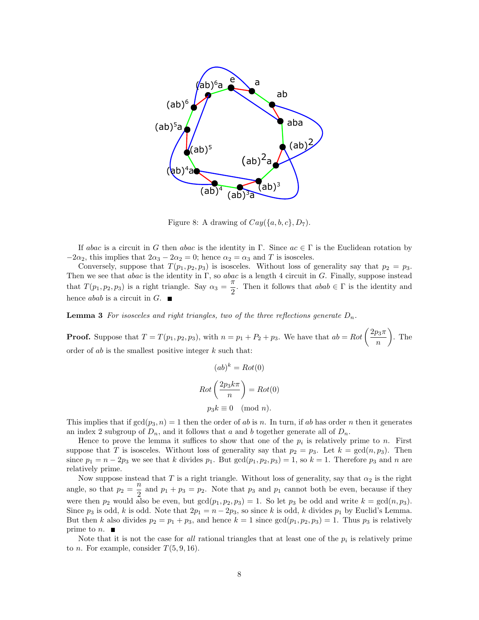

<span id="page-7-0"></span>Figure 8: A drawing of  $Cay({a, b, c}, D_7)$ .

If abac is a circuit in G then abac is the identity in  $\Gamma$ . Since  $ac \in \Gamma$  is the Euclidean rotation by  $-2\alpha_2$ , this implies that  $2\alpha_3 - 2\alpha_2 = 0$ ; hence  $\alpha_2 = \alpha_3$  and T is isosceles.

Conversely, suppose that  $T(p_1, p_2, p_3)$  is isosceles. Without loss of generality say that  $p_2 = p_3$ . Then we see that abac is the identity in  $\Gamma$ , so abac is a length 4 circuit in G. Finally, suppose instead that  $T(p_1, p_2, p_3)$  is a right triangle. Say  $\alpha_3 = \frac{\pi}{2}$  $\frac{\pi}{2}$ . Then it follows that  $abab \in \Gamma$  is the identity and hence *abab* is a circuit in  $G$ .

<span id="page-7-1"></span>**Lemma 3** For isosceles and right triangles, two of the three reflections generate  $D_n$ .

**Proof.** Suppose that  $T = T(p_1, p_2, p_3)$ , with  $n = p_1 + P_2 + p_3$ . We have that  $ab = Rot \left(\frac{2p_3\pi}{r}\right)$ n  $\big)$ . The order of ab is the smallest positive integer  $k$  such that:

$$
(ab)^k = Rot(0)
$$

$$
Rot\left(\frac{2p_3k\pi}{n}\right) = Rot(0)
$$

$$
p_3k \equiv 0 \pmod{n}.
$$

This implies that if  $gcd(p_3, n) = 1$  then the order of ab is n. In turn, if ab has order n then it generates an index 2 subgroup of  $D_n$ , and it follows that a and b together generate all of  $D_n$ .

Hence to prove the lemma it suffices to show that one of the  $p_i$  is relatively prime to n. First suppose that T is isosceles. Without loss of generality say that  $p_2 = p_3$ . Let  $k = \gcd(n, p_3)$ . Then since  $p_1 = n - 2p_3$  we see that k divides  $p_1$ . But  $gcd(p_1, p_2, p_3) = 1$ , so  $k = 1$ . Therefore  $p_3$  and n are relatively prime.

Now suppose instead that T is a right triangle. Without loss of generality, say that  $\alpha_2$  is the right angle, so that  $p_2 = \frac{n}{2}$  $\frac{n}{2}$  and  $p_1 + p_3 = p_2$ . Note that  $p_3$  and  $p_1$  cannot both be even, because if they were then  $p_2$  would also be even, but  $gcd(p_1, p_2, p_3) = 1$ . So let  $p_3$  be odd and write  $k = gcd(n, p_3)$ . Since  $p_3$  is odd, k is odd. Note that  $2p_1 = n - 2p_3$ , so since k is odd, k divides  $p_1$  by Euclid's Lemma. But then k also divides  $p_2 = p_1 + p_3$ , and hence  $k = 1$  since  $gcd(p_1, p_2, p_3) = 1$ . Thus  $p_3$  is relatively prime to  $n.$ 

<span id="page-7-2"></span>Note that it is not the case for all rational triangles that at least one of the  $p_i$  is relatively prime to *n*. For example, consider  $T(5, 9, 16)$ .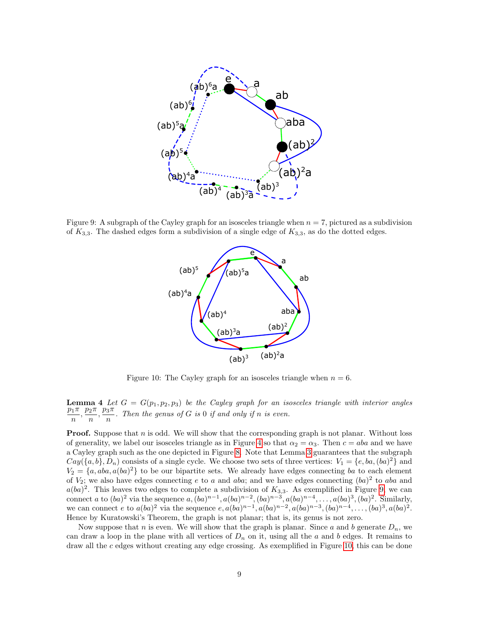

<span id="page-8-0"></span>Figure 9: A subgraph of the Cayley graph for an isosceles triangle when  $n = 7$ , pictured as a subdivision of  $K_{3,3}$ . The dashed edges form a subdivision of a single edge of  $K_{3,3}$ , as do the dotted edges.



<span id="page-8-1"></span>Figure 10: The Cayley graph for an isosceles triangle when  $n = 6$ .

**Lemma 4** Let  $G = G(p_1, p_2, p_3)$  be the Cayley graph for an isosceles triangle with interior angles  $p_1 \pi p_2 \pi p_3 \pi$  $\frac{p_1\pi}{n}, \frac{p_2\pi}{n}$  $\frac{p_2\pi}{n}, \frac{p_3\pi}{n}$  $\frac{\partial^n}{\partial n}$ . Then the genus of G is 0 if and only if n is even.

**Proof.** Suppose that  $n$  is odd. We will show that the corresponding graph is not planar. Without loss of generality, we label our isosceles triangle as in Figure [4](#page-2-0) so that  $\alpha_2 = \alpha_3$ . Then  $c = aba$  and we have a Cayley graph such as the one depicted in Figure [8.](#page-7-0) Note that Lemma [3](#page-7-1) guarantees that the subgraph  $Cay(\{a, b\}, D_n)$  consists of a single cycle. We choose two sets of three vertices:  $V_1 = \{e, ba, (ba)^2\}$  and  $V_2 = \{a, aba, a(ba)^2\}$  to be our bipartite sets. We already have edges connecting ba to each element of  $V_2$ ; we also have edges connecting e to a and aba; and we have edges connecting  $(ba)^2$  to aba and  $a(ba)^2$ . This leaves two edges to complete a subdivision of  $K_{3,3}$ . As exemplified in Figure [9,](#page-8-0) we can connect a to  $(ba)^2$  via the sequence  $a, (ba)^{n-1}, a(ba)^{n-2}, (ba)^{n-3}, a(ba)^{n-4}, \ldots, a(ba)^3, (ba)^2$ . Similarly, we can connect e to  $a(ba)^2$  via the sequence  $e, a(ba)^{n-1}, a(ba)^{n-2}, a(ba)^{n-3}, (ba)^{n-4}, \ldots, (ba)^3, a(ba)^2$ . Hence by Kuratowski's Theorem, the graph is not planar; that is, its genus is not zero.

Now suppose that n is even. We will show that the graph is planar. Since a and b generate  $D_n$ , we can draw a loop in the plane with all vertices of  $D_n$  on it, using all the a and b edges. It remains to draw all the  $c$  edges without creating any edge crossing. As exemplified in Figure [10,](#page-8-1) this can be done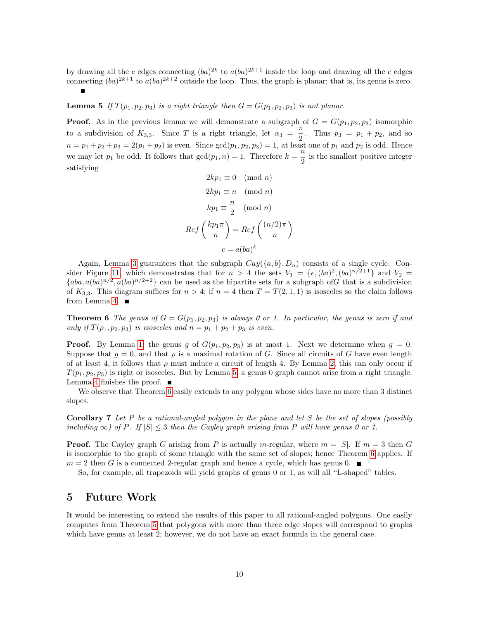<span id="page-9-1"></span>by drawing all the c edges connecting  $(ba)^{2k}$  to  $a(ba)^{2k+1}$  inside the loop and drawing all the c edges connecting  $(ba)^{2k+1}$  to  $a(ba)^{2k+2}$  outside the loop. Thus, the graph is planar; that is, its genus is zero.

**Lemma 5** If  $T(p_1, p_2, p_3)$  is a right triangle then  $G = G(p_1, p_2, p_3)$  is not planar.

**Proof.** As in the previous lemma we will demonstrate a subgraph of  $G = G(p_1, p_2, p_3)$  isomorphic to a subdivision of  $K_{3,3}$ . Since T is a right triangle, let  $\alpha_3 = \frac{\pi}{2}$  $\frac{\pi}{2}$ . Thus  $p_3 = p_1 + p_2$ , and so  $n = p_1 + p_2 + p_3 = 2(p_1 + p_2)$  is even. Since  $gcd(p_1, p_2, p_3) = 1$ , at least one of  $p_1$  and  $p_2$  is odd. Hence we may let  $p_1$  be odd. It follows that  $gcd(p_1, n) = 1$ . Therefore  $k = \frac{n}{2}$  $\frac{\pi}{2}$  is the smallest positive integer satisfying

$$
2kp_1 \equiv 0 \pmod{n}
$$
  
\n
$$
2kp_1 \equiv n \pmod{n}
$$
  
\n
$$
kp_1 \equiv \frac{n}{2} \pmod{n}
$$
  
\n
$$
Ref\left(\frac{kp_1\pi}{n}\right) = Ref\left(\frac{(n/2)\pi}{n}\right)
$$
  
\n
$$
c = a(ba)^k
$$

Again, Lemma [3](#page-7-1) guarantees that the subgraph  $Cay({a,b}, D_n)$  consists of a single cycle. Con-sider Figure [11,](#page-10-4) which demonstrates that for  $n > 4$  the sets  $V_1 = \{e, (ba)^2, (ba)^{n/2+1}\}\$  and  $V_2 =$  ${aba, a(ba)^{n/2}, a(ba)^{n/2+2}}$  can be used as the bipartite sets for a subgraph of G that is a subdivision of  $K_{3,3}$ . This diagram suffices for  $n > 4$ ; if  $n = 4$  then  $T = T(2, 1, 1)$  is isosceles so the claim follows from Lemma [4.](#page-7-2)  $\blacksquare$ 

<span id="page-9-0"></span>**Theorem 6** The genus of  $G = G(p_1, p_2, p_3)$  is always 0 or 1. In particular, the genus is zero if and only if  $T(p_1, p_2, p_3)$  is isosceles and  $n = p_1 + p_2 + p_3$  is even.

**Proof.** By Lemma [1,](#page-5-1) the genus g of  $G(p_1, p_2, p_3)$  is at most 1. Next we determine when  $g = 0$ . Suppose that  $q = 0$ , and that  $\rho$  is a maximal rotation of G. Since all circuits of G have even length of at least 4, it follows that  $\rho$  must induce a circuit of length 4. By Lemma [2,](#page-6-0) this can only occur if  $T(p_1, p_2, p_3)$  is right or isosceles. But by Lemma [5,](#page-9-1) a genus 0 graph cannot arise from a right triangle. Lemma [4](#page-7-2) finishes the proof.  $\blacksquare$ 

We observe that Theorem [6](#page-9-0) easily extends to any polygon whose sides have no more than 3 distinct slopes.

Corollary 7 Let P be a rational-angled polygon in the plane and let S be the set of slopes (possibly including  $\infty$ ) of P. If  $|S| \leq 3$  then the Cayley graph arising from P will have genus 0 or 1.

**Proof.** The Cayley graph G arising from P is actually m-regular, where  $m = |S|$ . If  $m = 3$  then G is isomorphic to the graph of some triangle with the same set of slopes; hence Theorem [6](#page-9-0) applies. If  $m = 2$  then G is a connected 2-regular graph and hence a cycle, which has genus 0.

So, for example, all trapezoids will yield graphs of genus 0 or 1, as will all "L-shaped" tables.

### 5 Future Work

It would be interesting to extend the results of this paper to all rational-angled polygons. One easily computes from Theorem [5](#page-4-0) that polygons with more than three edge slopes will correspond to graphs which have genus at least 2; however, we do not have an exact formula in the general case.